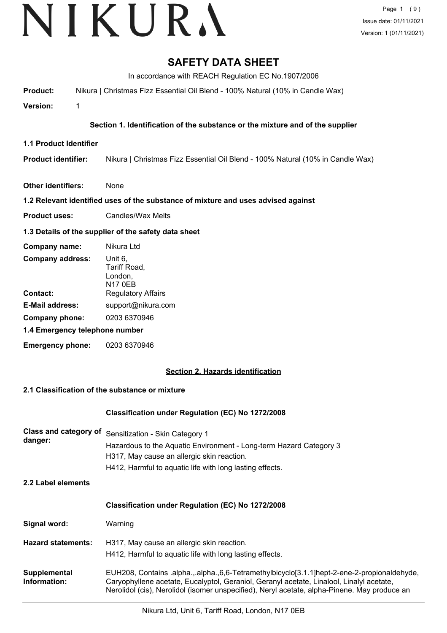# VIKURA

# **SAFETY DATA SHEET**

In accordance with REACH Regulation EC No.1907/2006

**Product:** Nikura | Christmas Fizz Essential Oil Blend - 100% Natural (10% in Candle Wax)

**Version:** 1

# **Section 1. Identification of the substance or the mixture and of the supplier**

**1.1 Product Identifier**

**Product identifier:** Nikura | Christmas Fizz Essential Oil Blend - 100% Natural (10% in Candle Wax)

**Other identifiers:** None

# **1.2 Relevant identified uses of the substance of mixture and uses advised against**

**Product uses:** Candles/Wax Melts

# **1.3 Details of the supplier of the safety data sheet**

| Company name:                  | Nikura Ltd                                           |  |
|--------------------------------|------------------------------------------------------|--|
| <b>Company address:</b>        | Unit 6,<br>Tariff Road,<br>London,<br><b>N17 0EB</b> |  |
| Contact:                       | <b>Regulatory Affairs</b>                            |  |
| <b>E-Mail address:</b>         | support@nikura.com                                   |  |
| Company phone:                 | 0203 6370946                                         |  |
| 1.4 Emergency telephone number |                                                      |  |
| Emergency phone:               | 0203 6370946                                         |  |

# **Section 2. Hazards identification**

# **2.1 Classification of the substance or mixture**

# **Classification under Regulation (EC) No 1272/2008**

| danger: | Class and category of Sensitization - Skin Category 1              |
|---------|--------------------------------------------------------------------|
|         | Hazardous to the Aquatic Environment - Long-term Hazard Category 3 |
|         | H317, May cause an allergic skin reaction.                         |
|         | H412, Harmful to aquatic life with long lasting effects.           |

**2.2 Label elements**

# **Classification under Regulation (EC) No 1272/2008**

| Signal word: | Warning |
|--------------|---------|
|--------------|---------|

**Hazard statements:** H317, May cause an allergic skin reaction. H412, Harmful to aquatic life with long lasting effects.

EUH208, Contains .alpha.,.alpha.,6,6-Tetramethylbicyclo[3.1.1]hept-2-ene-2-propionaldehyde, Caryophyllene acetate, Eucalyptol, Geraniol, Geranyl acetate, Linalool, Linalyl acetate, Nerolidol (cis), Nerolidol (isomer unspecified), Neryl acetate, alpha-Pinene. May produce an **Supplemental Information:**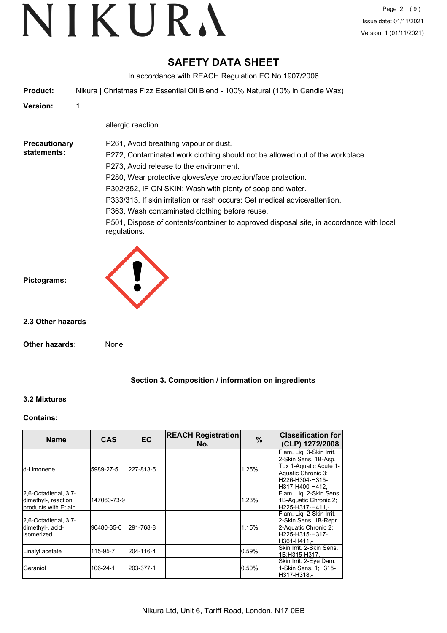# **SAFETY DATA SHEET**

In accordance with REACH Regulation EC No.1907/2006

**Product:** Nikura | Christmas Fizz Essential Oil Blend - 100% Natural (10% in Candle Wax)

**Version:** 1

allergic reaction.

**Precautionary statements:**

P261, Avoid breathing vapour or dust.

P272, Contaminated work clothing should not be allowed out of the workplace.

P273, Avoid release to the environment.

P280, Wear protective gloves/eye protection/face protection.

P302/352, IF ON SKIN: Wash with plenty of soap and water.

P333/313, If skin irritation or rash occurs: Get medical advice/attention.

P363, Wash contaminated clothing before reuse.

P501, Dispose of contents/container to approved disposal site, in accordance with local regulations.

**Pictograms:**

**2.3 Other hazards**

**Other hazards:** None

# **Section 3. Composition / information on ingredients**

# **3.2 Mixtures**

## **Contains:**

| <b>Name</b>                                                          | <b>CAS</b>  | <b>EC</b> | <b>REACH Registration</b><br>No. | $\%$  | <b>Classification for</b><br>(CLP) 1272/2008                                                                                            |
|----------------------------------------------------------------------|-------------|-----------|----------------------------------|-------|-----------------------------------------------------------------------------------------------------------------------------------------|
| Id-Limonene                                                          | 5989-27-5   | 227-813-5 |                                  | 1.25% | Flam. Lig. 3-Skin Irrit.<br>2-Skin Sens. 1B-Asp.<br>Tox 1-Aquatic Acute 1-<br>Aquatic Chronic 3:<br>H226-H304-H315-<br>H317-H400-H412.- |
| 2,6-Octadienal, 3,7-<br>dimethyl-, reaction<br>products with Et alc. | 147060-73-9 |           |                                  | 1.23% | Flam. Liq. 2-Skin Sens.<br>1B-Aquatic Chronic 2;<br>H225-H317-H411.-                                                                    |
| 2,6-Octadienal, 3,7-<br>dimethyl-, acid-<br>lisomerized              | 90480-35-6  | 291-768-8 |                                  | 1.15% | Flam. Liq. 2-Skin Irrit.<br>2-Skin Sens. 1B-Repr.<br>2-Aquatic Chronic 2:<br>H225-H315-H317-<br>H361-H411.-                             |
| Linalyl acetate                                                      | 115-95-7    | 204-116-4 |                                  | 0.59% | Skin Irrit. 2-Skin Sens.<br>1B:H315-H317.-                                                                                              |
| IGeraniol                                                            | 106-24-1    | 203-377-1 |                                  | 0.50% | Skin Irrit. 2-Eye Dam.<br>1-Skin Sens. 1; H315-<br>H317-H318.-                                                                          |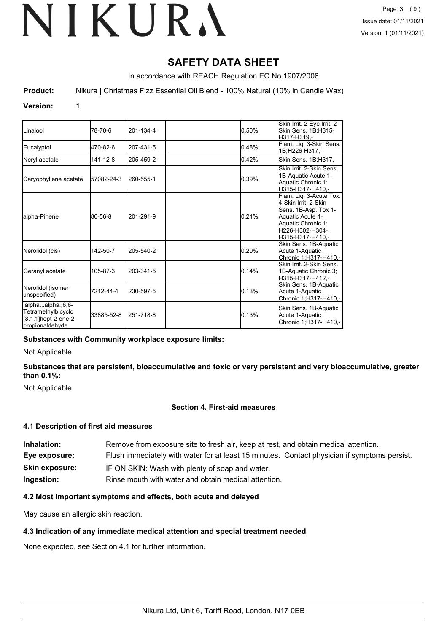# **SAFETY DATA SHEET**

In accordance with REACH Regulation EC No.1907/2006

**Product:** Nikura | Christmas Fizz Essential Oil Blend - 100% Natural (10% in Candle Wax)

## **Version:** 1

| <b>ILinalool</b>                                                                        | 78-70-6    | 201-134-4 | 0.50% | Skin Irrit. 2-Eye Irrit. 2-<br>Skin Sens. 1B;H315-<br>H317-H319.-                                                                                         |
|-----------------------------------------------------------------------------------------|------------|-----------|-------|-----------------------------------------------------------------------------------------------------------------------------------------------------------|
| Eucalyptol                                                                              | 470-82-6   | 207-431-5 | 0.48% | Flam. Liq. 3-Skin Sens.<br>1B;H226-H317,-                                                                                                                 |
| Neryl acetate                                                                           | 141-12-8   | 205-459-2 | 0.42% | Skin Sens. 1B;H317,-                                                                                                                                      |
| Caryophyllene acetate                                                                   | 57082-24-3 | 260-555-1 | 0.39% | Skin Irrit, 2-Skin Sens.<br>1B-Aquatic Acute 1-<br>Aquatic Chronic 1;<br>H315-H317-H410.-                                                                 |
| lalpha-Pinene                                                                           | 80-56-8    | 201-291-9 | 0.21% | Flam. Lig. 3-Acute Tox.<br>4-Skin Irrit, 2-Skin<br>Sens. 1B-Asp. Tox 1-<br>Aquatic Acute 1-<br>Aquatic Chronic 1;<br>H226-H302-H304-<br>lH315-H317-H410.- |
| Nerolidol (cis)                                                                         | 142-50-7   | 205-540-2 | 0.20% | Skin Sens. 1B-Aquatic<br>Acute 1-Aquatic<br>Chronic 1;H317-H410,-                                                                                         |
| Geranyl acetate                                                                         | 105-87-3   | 203-341-5 | 0.14% | Skin Irrit. 2-Skin Sens.<br>1B-Aquatic Chronic 3;<br>H315-H317-H412,-                                                                                     |
| Nerolidol (isomer<br>unspecified)                                                       | 7212-44-4  | 230-597-5 | 0.13% | Skin Sens. 1B-Aquatic<br>Acute 1-Aquatic<br>Chronic 1;H317-H410,-                                                                                         |
| alpha., alpha., 6, 6-<br>Tetramethylbicyclo<br>[3.1.1]hept-2-ene-2-<br>Ipropionaldehvde | 33885-52-8 | 251-718-8 | 0.13% | Skin Sens. 1B-Aquatic<br>Acute 1-Aquatic<br>Chronic 1;H317-H410,-                                                                                         |

## **Substances with Community workplace exposure limits:**

Not Applicable

**Substances that are persistent, bioaccumulative and toxic or very persistent and very bioaccumulative, greater than 0.1%:**

Not Applicable

## **Section 4. First-aid measures**

## **4.1 Description of first aid measures**

| Inhalation:           | Remove from exposure site to fresh air, keep at rest, and obtain medical attention.          |
|-----------------------|----------------------------------------------------------------------------------------------|
| Eye exposure:         | Flush immediately with water for at least 15 minutes. Contact physician if symptoms persist. |
| <b>Skin exposure:</b> | IF ON SKIN: Wash with plenty of soap and water.                                              |
| Ingestion:            | Rinse mouth with water and obtain medical attention.                                         |

## **4.2 Most important symptoms and effects, both acute and delayed**

May cause an allergic skin reaction.

## **4.3 Indication of any immediate medical attention and special treatment needed**

None expected, see Section 4.1 for further information.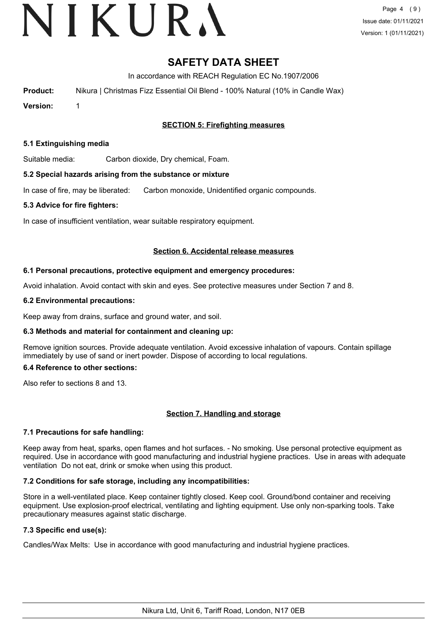# VIKURA

# **SAFETY DATA SHEET**

In accordance with REACH Regulation EC No.1907/2006

**Product:** Nikura | Christmas Fizz Essential Oil Blend - 100% Natural (10% in Candle Wax)

**Version:** 1

# **SECTION 5: Firefighting measures**

#### **5.1 Extinguishing media**

Suitable media: Carbon dioxide, Dry chemical, Foam.

#### **5.2 Special hazards arising from the substance or mixture**

In case of fire, may be liberated: Carbon monoxide, Unidentified organic compounds.

#### **5.3 Advice for fire fighters:**

In case of insufficient ventilation, wear suitable respiratory equipment.

#### **Section 6. Accidental release measures**

#### **6.1 Personal precautions, protective equipment and emergency procedures:**

Avoid inhalation. Avoid contact with skin and eyes. See protective measures under Section 7 and 8.

#### **6.2 Environmental precautions:**

Keep away from drains, surface and ground water, and soil.

## **6.3 Methods and material for containment and cleaning up:**

Remove ignition sources. Provide adequate ventilation. Avoid excessive inhalation of vapours. Contain spillage immediately by use of sand or inert powder. Dispose of according to local regulations.

#### **6.4 Reference to other sections:**

Also refer to sections 8 and 13.

## **Section 7. Handling and storage**

## **7.1 Precautions for safe handling:**

Keep away from heat, sparks, open flames and hot surfaces. - No smoking. Use personal protective equipment as required. Use in accordance with good manufacturing and industrial hygiene practices. Use in areas with adequate ventilation Do not eat, drink or smoke when using this product.

## **7.2 Conditions for safe storage, including any incompatibilities:**

Store in a well-ventilated place. Keep container tightly closed. Keep cool. Ground/bond container and receiving equipment. Use explosion-proof electrical, ventilating and lighting equipment. Use only non-sparking tools. Take precautionary measures against static discharge.

# **7.3 Specific end use(s):**

Candles/Wax Melts: Use in accordance with good manufacturing and industrial hygiene practices.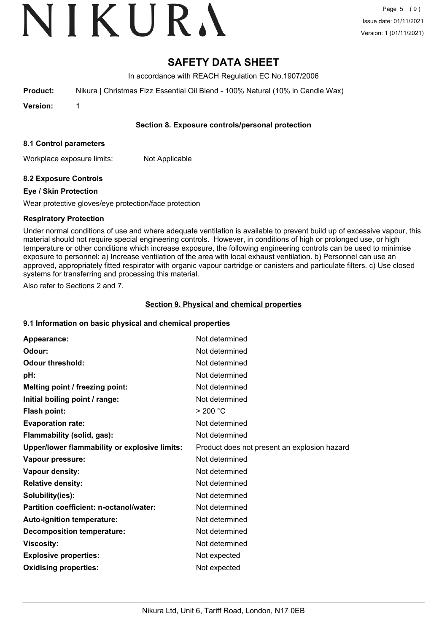# VIKURA

# **SAFETY DATA SHEET**

In accordance with REACH Regulation EC No.1907/2006

**Product:** Nikura | Christmas Fizz Essential Oil Blend - 100% Natural (10% in Candle Wax)

**Version:** 1

# **Section 8. Exposure controls/personal protection**

## **8.1 Control parameters**

Workplace exposure limits: Not Applicable

# **8.2 Exposure Controls**

# **Eye / Skin Protection**

Wear protective gloves/eye protection/face protection

# **Respiratory Protection**

Under normal conditions of use and where adequate ventilation is available to prevent build up of excessive vapour, this material should not require special engineering controls. However, in conditions of high or prolonged use, or high temperature or other conditions which increase exposure, the following engineering controls can be used to minimise exposure to personnel: a) Increase ventilation of the area with local exhaust ventilation. b) Personnel can use an approved, appropriately fitted respirator with organic vapour cartridge or canisters and particulate filters. c) Use closed systems for transferring and processing this material.

Also refer to Sections 2 and 7.

# **Section 9. Physical and chemical properties**

## **9.1 Information on basic physical and chemical properties**

| Appearance:                                   | Not determined                               |
|-----------------------------------------------|----------------------------------------------|
| Odour:                                        | Not determined                               |
| <b>Odour threshold:</b>                       | Not determined                               |
| pH:                                           | Not determined                               |
| Melting point / freezing point:               | Not determined                               |
| Initial boiling point / range:                | Not determined                               |
| <b>Flash point:</b>                           | > 200 °C                                     |
| <b>Evaporation rate:</b>                      | Not determined                               |
| Flammability (solid, gas):                    | Not determined                               |
| Upper/lower flammability or explosive limits: | Product does not present an explosion hazard |
| Vapour pressure:                              | Not determined                               |
| Vapour density:                               | Not determined                               |
| <b>Relative density:</b>                      | Not determined                               |
| Solubility(ies):                              | Not determined                               |
| Partition coefficient: n-octanol/water:       | Not determined                               |
| Auto-ignition temperature:                    | Not determined                               |
| <b>Decomposition temperature:</b>             | Not determined                               |
| <b>Viscosity:</b>                             | Not determined                               |
| <b>Explosive properties:</b>                  | Not expected                                 |
| <b>Oxidising properties:</b>                  | Not expected                                 |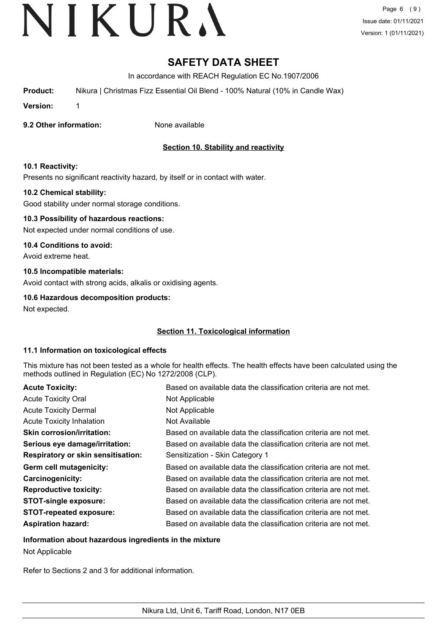# **SAFETY DATA SHEET**

In accordance with REACH Regulation EC No.1907/2006

**Product:** Nikura | Christmas Fizz Essential Oil Blend - 100% Natural (10% in Candle Wax)

**Version:** 1

## **9.2 Other information:** None available

# **Section 10. Stability and reactivity**

# **10.1 Reactivity:**

Presents no significant reactivity hazard, by itself or in contact with water.

## **10.2 Chemical stability:**

Good stability under normal storage conditions.

## **10.3 Possibility of hazardous reactions:**

Not expected under normal conditions of use.

### **10.4 Conditions to avoid:**

Avoid extreme heat.

## **10.5 Incompatible materials:**

Avoid contact with strong acids, alkalis or oxidising agents.

#### **10.6 Hazardous decomposition products:**

Not expected.

## **Section 11. Toxicological information**

## **11.1 Information on toxicological effects**

This mixture has not been tested as a whole for health effects. The health effects have been calculated using the methods outlined in Regulation (EC) No 1272/2008 (CLP).

| <b>Acute Toxicity:</b>                    | Based on available data the classification criteria are not met. |
|-------------------------------------------|------------------------------------------------------------------|
| <b>Acute Toxicity Oral</b>                | Not Applicable                                                   |
| <b>Acute Toxicity Dermal</b>              | Not Applicable                                                   |
| <b>Acute Toxicity Inhalation</b>          | Not Available                                                    |
| <b>Skin corrosion/irritation:</b>         | Based on available data the classification criteria are not met. |
| Serious eye damage/irritation:            | Based on available data the classification criteria are not met. |
| <b>Respiratory or skin sensitisation:</b> | Sensitization - Skin Category 1                                  |
| Germ cell mutagenicity:                   | Based on available data the classification criteria are not met. |
| <b>Carcinogenicity:</b>                   | Based on available data the classification criteria are not met. |
| <b>Reproductive toxicity:</b>             | Based on available data the classification criteria are not met. |
| <b>STOT-single exposure:</b>              | Based on available data the classification criteria are not met. |
| <b>STOT-repeated exposure:</b>            | Based on available data the classification criteria are not met. |
| <b>Aspiration hazard:</b>                 | Based on available data the classification criteria are not met. |

## **Information about hazardous ingredients in the mixture**

Not Applicable

Refer to Sections 2 and 3 for additional information.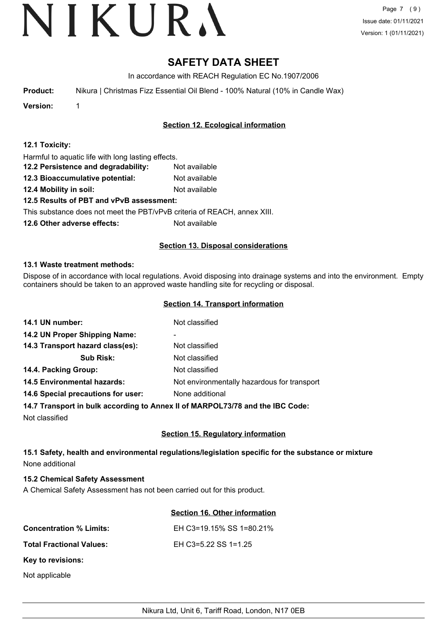# **SAFETY DATA SHEET**

In accordance with REACH Regulation EC No.1907/2006

**Product:** Nikura | Christmas Fizz Essential Oil Blend - 100% Natural (10% in Candle Wax)

**Version:** 1

# **Section 12. Ecological information**

|  | 12.1 Toxicity: |
|--|----------------|
|--|----------------|

Harmful to aquatic life with long lasting effects.

- **12.2 Persistence and degradability:** Not available
- **12.3 Bioaccumulative potential:** Not available
- **12.4 Mobility in soil:** Not available

# **12.5 Results of PBT and vPvB assessment:**

This substance does not meet the PBT/vPvB criteria of REACH, annex XIII.

**12.6 Other adverse effects:** Not available

# **Section 13. Disposal considerations**

## **13.1 Waste treatment methods:**

Dispose of in accordance with local regulations. Avoid disposing into drainage systems and into the environment. Empty containers should be taken to an approved waste handling site for recycling or disposal.

## **Section 14. Transport information**

| 14.1 UN number:                    | Not classified                              |
|------------------------------------|---------------------------------------------|
| 14.2 UN Proper Shipping Name:      | ۰                                           |
| 14.3 Transport hazard class(es):   | Not classified                              |
| <b>Sub Risk:</b>                   | Not classified                              |
| 14.4. Packing Group:               | Not classified                              |
| <b>14.5 Environmental hazards:</b> | Not environmentally hazardous for transport |
| 14.6 Special precautions for user: | None additional                             |
|                                    |                                             |

## **14.7 Transport in bulk according to Annex II of MARPOL73/78 and the IBC Code:**

Not classified

# **Section 15. Regulatory information**

# **15.1 Safety, health and environmental regulations/legislation specific for the substance or mixture** None additional

## **15.2 Chemical Safety Assessment**

A Chemical Safety Assessment has not been carried out for this product.

## **Section 16. Other information**

| <b>Concentration % Limits:</b>  | EH C3=19.15% SS 1=80.21% |
|---------------------------------|--------------------------|
| <b>Total Fractional Values:</b> | EH C3=5.22 SS 1=1.25     |
| Key to revisions:               |                          |
| Not applicable                  |                          |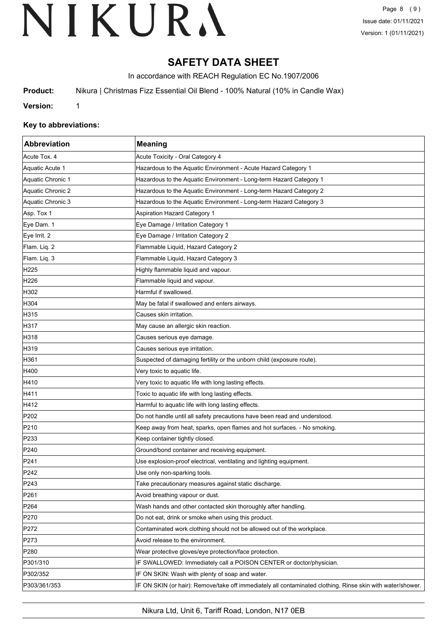# **SAFETY DATA SHEET**

In accordance with REACH Regulation EC No.1907/2006

**Product:** Nikura | Christmas Fizz Essential Oil Blend - 100% Natural (10% in Candle Wax)

**Version:** 1

## **Key to abbreviations:**

| Abbreviation      | <b>Meaning</b>                                                                                             |
|-------------------|------------------------------------------------------------------------------------------------------------|
| Acute Tox. 4      | Acute Toxicity - Oral Category 4                                                                           |
| Aquatic Acute 1   | Hazardous to the Aquatic Environment - Acute Hazard Category 1                                             |
| Aquatic Chronic 1 | Hazardous to the Aquatic Environment - Long-term Hazard Category 1                                         |
| Aquatic Chronic 2 | Hazardous to the Aquatic Environment - Long-term Hazard Category 2                                         |
| Aquatic Chronic 3 | Hazardous to the Aquatic Environment - Long-term Hazard Category 3                                         |
| Asp. Tox 1        | <b>Aspiration Hazard Category 1</b>                                                                        |
| Eye Dam. 1        | Eye Damage / Irritation Category 1                                                                         |
| Eye Irrit. 2      | Eye Damage / Irritation Category 2                                                                         |
| Flam. Liq. 2      | Flammable Liquid, Hazard Category 2                                                                        |
| Flam. Liq. 3      | Flammable Liquid, Hazard Category 3                                                                        |
| H225              | Highly flammable liquid and vapour.                                                                        |
| H <sub>226</sub>  | Flammable liquid and vapour.                                                                               |
| H302              | Harmful if swallowed.                                                                                      |
| H304              | May be fatal if swallowed and enters airways.                                                              |
| H315              | Causes skin irritation.                                                                                    |
| H317              | May cause an allergic skin reaction.                                                                       |
| H318              | Causes serious eye damage.                                                                                 |
| H319              | Causes serious eye irritation.                                                                             |
| H361              | Suspected of damaging fertility or the unborn child (exposure route).                                      |
| H400              | Very toxic to aquatic life.                                                                                |
| H410              | Very toxic to aquatic life with long lasting effects.                                                      |
| H411              | Toxic to aquatic life with long lasting effects.                                                           |
| H412              | Harmful to aquatic life with long lasting effects.                                                         |
| P202              | Do not handle until all safety precautions have been read and understood.                                  |
| P210              | Keep away from heat, sparks, open flames and hot surfaces. - No smoking.                                   |
| P233              | Keep container tightly closed.                                                                             |
| P240              | Ground/bond container and receiving equipment.                                                             |
| P241              | Use explosion-proof electrical, ventilating and lighting equipment.                                        |
| P <sub>242</sub>  | Use only non-sparking tools.                                                                               |
| P243              | Take precautionary measures against static discharge.                                                      |
| P261              | Avoid breathing vapour or dust.                                                                            |
| P <sub>264</sub>  | Wash hands and other contacted skin thoroughly after handling.                                             |
| P270              | Do not eat, drink or smoke when using this product.                                                        |
| P272              | Contaminated work clothing should not be allowed out of the workplace.                                     |
| P273              | Avoid release to the environment.                                                                          |
| P280              | Wear protective gloves/eye protection/face protection.                                                     |
| P301/310          | IF SWALLOWED: Immediately call a POISON CENTER or doctor/physician.                                        |
| P302/352          | IF ON SKIN: Wash with plenty of soap and water.                                                            |
| P303/361/353      | IF ON SKIN (or hair): Remove/take off immediately all contaminated clothing. Rinse skin with water/shower. |